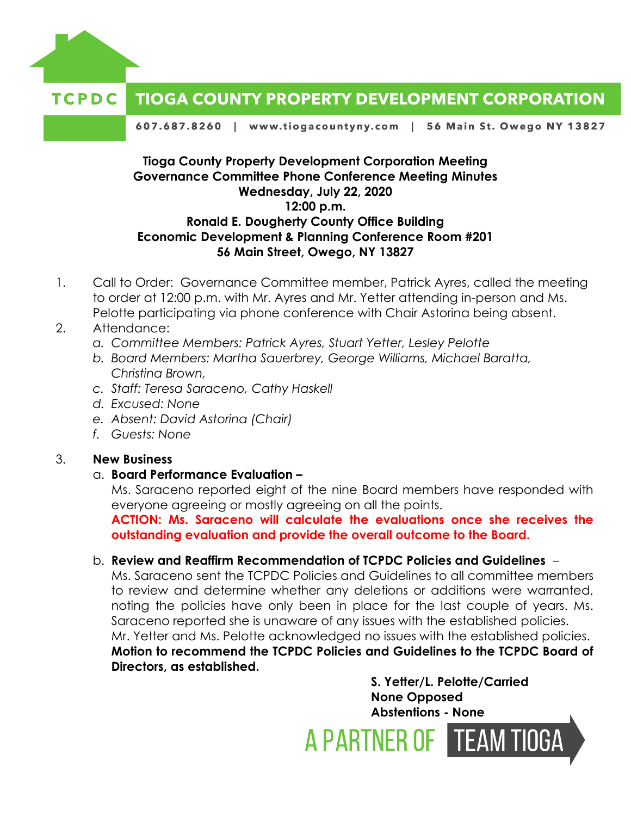

#### **TCPDC TIOGA COUNTY PROPERTY DEVELOPMENT CORPORATION**

607.687.8260 | www.tiogacountyny.com | 56 Main St. Owego NY 13827

# **Tioga County Property Development Corporation Meeting Governance Committee Phone Conference Meeting Minutes Wednesday, July 22, 2020 12:00 p.m. Ronald E. Dougherty County Office Building Economic Development & Planning Conference Room #201 56 Main Street, Owego, NY 13827**

1. Call to Order: Governance Committee member, Patrick Ayres, called the meeting to order at 12:00 p.m. with Mr. Ayres and Mr. Yetter attending in-person and Ms. Pelotte participating via phone conference with Chair Astorina being absent.

## 2. Attendance:

- *a. Committee Members: Patrick Ayres, Stuart Yetter, Lesley Pelotte*
- *b. Board Members: Martha Sauerbrey, George Williams, Michael Baratta, Christina Brown,*
- *c. Staff: Teresa Saraceno, Cathy Haskell*
- *d. Excused: None*
- *e. Absent: David Astorina (Chair)*
- *f. Guests: None*

# 3. **New Business**

### a. **Board Performance Evaluation –**

Ms. Saraceno reported eight of the nine Board members have responded with everyone agreeing or mostly agreeing on all the points.

**ACTION: Ms. Saraceno will calculate the evaluations once she receives the outstanding evaluation and provide the overall outcome to the Board.** 

### b. **Review and Reaffirm Recommendation of TCPDC Policies and Guidelines** –

Ms. Saraceno sent the TCPDC Policies and Guidelines to all committee members to review and determine whether any deletions or additions were warranted, noting the policies have only been in place for the last couple of years. Ms. Saraceno reported she is unaware of any issues with the established policies. Mr. Yetter and Ms. Pelotte acknowledged no issues with the established policies. **Motion to recommend the TCPDC Policies and Guidelines to the TCPDC Board of Directors, as established.** 

> **S. Yetter/L. Pelotte/Carried None Opposed Abstentions - None**